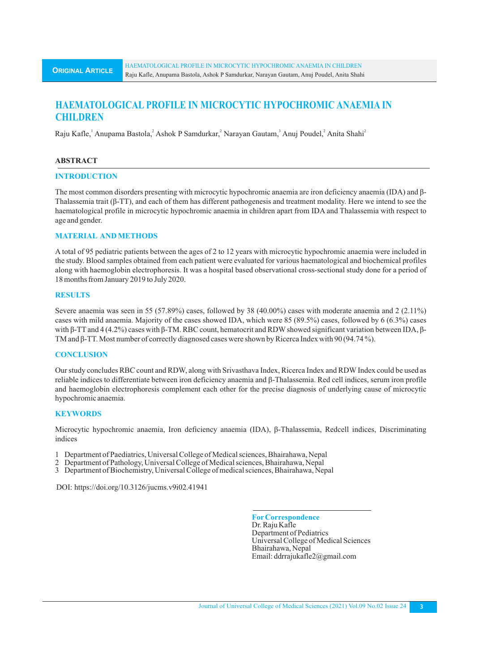# **HAEMATOLOGICAL PROFILE IN MICROCYTIC HYPOCHROMIC ANAEMIA IN CHILDREN**

Raju Kafle, Anupama Bastola, Ashok P Samdurkar, 'Narayan Gautam, 'Anuj Poudel, 'Anita Shahi'

#### **ABSTRACT**

#### **INTRODUCTION**

The most common disorders presenting with microcytic hypochromic anaemia are iron deficiency anaemia (IDA) and β-Thalassemia trait (β-TT), and each of them has different pathogenesis and treatment modality. Here we intend to see the haematological profile in microcytic hypochromic anaemia in children apart from IDA and Thalassemia with respect to age and gender.

## **MATERIAL AND METHODS**

A total of 95 pediatric patients between the ages of 2 to 12 years with microcytic hypochromic anaemia were included in the study. Blood samples obtained from each patient were evaluated for various haematological and biochemical profiles along with haemoglobin electrophoresis. It was a hospital based observational cross-sectional study done for a period of 18 months from January 2019 to July 2020.

#### **RESULTS**

Severe anaemia was seen in 55 (57.89%) cases, followed by 38 (40.00%) cases with moderate anaemia and 2 (2.11%) cases with mild anaemia. Majority of the cases showed IDA, which were 85 (89.5%) cases, followed by 6 (6.3%) cases with β-TT and 4 (4.2%) cases with β-TM. RBC count, hematocrit and RDW showed significant variation between IDA, β-TM and β-TT. Most number of correctly diagnosed cases were shown by Ricerca Index with 90 (94.74 %).

## **CONCLUSION**

Our study concludes RBC count and RDW, along with Srivasthava Index, Ricerca Index and RDWIndex could be used as reliable indices to differentiate between iron deficiency anaemia and β-Thalassemia. Red cell indices, serum iron profile and haemoglobin electrophoresis complement each other for the precise diagnosis of underlying cause of microcytic hypochromic anaemia.

## **KEYWORDS**

Microcytic hypochromic anaemia, Iron deficiency anaemia (IDA), β-Thalassemia, Redcell indices, Discriminating indices

- 1 Department of Paediatrics, Universal College of Medical sciences, Bhairahawa, Nepal
- 2 Department of Pathology, Universal College of Medical sciences, Bhairahawa, Nepal
- 3 Department of Biochemistry, Universal College of medical sciences, Bhairahawa, Nepal

DOI: https://doi.org/10.3126/jucms.v9i02.41941

**ForCorrespondence** Dr. Raju Kafle Department of Pediatrics Universal College of Medical Sciences Bhairahawa, Nepal Email: ddrrajukafle2@gmail.com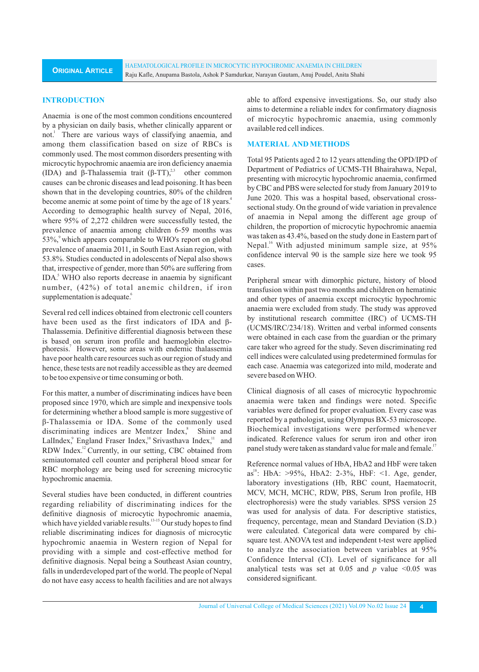HAEMATOLOGICAL PROFILE IN MICROCYTIC HYPOCHROMIC ANAEMIA IN CHILDREN Raju Kafle, Anupama Bastola, Ashok P Samdurkar, Narayan Gautam, Anuj Poudel, Anita Shahi

#### **INTRODUCTION**

Anaemia is one of the most common conditions encountered by a physician on daily basis, whether clinically apparent or not.<sup>1</sup> There are various ways of classifying anaemia, and among them classification based on size of RBCs is commonly used. The most common disorders presenting with microcytic hypochromic anaemia are iron deficiency anaemia (IDA) and β-Thalassemia trait  $(\beta - TT)$ , other common causes can be chronic diseases and lead poisoning. It has been shown that in the developing countries, 80% of the children become anemic at some point of time by the age of 18 years.<sup>4</sup> According to demographic health survey of Nepal, 2016, where 95% of 2,272 children were successfully tested, the prevalence of anaemia among children 6-59 months was  $53\%$ , which appears comparable to WHO's report on global prevalence of anaemia 2011, in South East Asian region, with 53.8%. Studies conducted in adolescents of Nepal also shows that, irrespective of gender, more than 50% are suffering from IDA.<sup>5</sup> WHO also reports decrease in anaemia by significant number, (42%) of total anemic children, if iron supplementation is adequate.<sup>6</sup>

Several red cell indices obtained from electronic cell counters have been used as the first indicators of IDA and β-Thalassemia. Definitive differential diagnosis between these is based on serum iron profile and haemoglobin electrophoresis.<sup>7</sup> However, some areas with endemic thalassemia have poor health care resources such as our region of study and hence, these tests are not readily accessible as they are deemed to be too expensive or time consuming or both.

For this matter, a number of discriminating indices have been proposed since 1970, which are simple and inexpensive tools for determining whether a blood sample is more suggestive of β-Thalassemia or IDA. Some of the commonly used discriminating indices are Mentzer Index,<sup>8</sup> Shine and LalIndex, England Fraser Index, <sup>10</sup> Srivasthava Index, <sup>11</sup> and RDW Index.<sup>12</sup> Currently, in our setting, CBC obtained from semiautomated cell counter and peripheral blood smear for RBC morphology are being used for screening microcytic hypochromic anaemia.

Several studies have been conducted, in different countries regarding reliability of discriminating indices for the definitive diagnosis of microcytic hypochromic anaemia, which have yielded variable results.<sup>13-15</sup> Our study hopes to find reliable discriminating indices for diagnosis of microcytic hypochromic anaemia in Western region of Nepal for providing with a simple and cost-effective method for definitive diagnosis. Nepal being a Southeast Asian country, falls in underdeveloped part of the world. The people of Nepal do not have easy access to health facilities and are not always able to afford expensive investigations. So, our study also aims to determine a reliable index for confirmatory diagnosis of microcytic hypochromic anaemia, using commonly available red cell indices.

## **MATERIAL AND METHODS**

Total 95 Patients aged 2 to 12 years attending the OPD/IPD of Department of Pediatrics of UCMS-TH Bhairahawa, Nepal, presenting with microcytic hypochromic anaemia, confirmed by CBC and PBS were selected for study from January 2019 to June 2020. This was a hospital based, observational crosssectional study. On the ground of wide variation in prevalence of anaemia in Nepal among the different age group of children, the proportion of microcytic hypochromic anaemia was taken as 43.4%, based on the study done in Eastern part of Nepal.<sup>16</sup> With adjusted minimum sample size, at  $95\%$ confidence interval 90 is the sample size here we took 95 cases.

Peripheral smear with dimorphic picture, history of blood transfusion within past two months and children on hematinic and other types of anaemia except microcytic hypochromic anaemia were excluded from study. The study was approved by institutional research committee (IRC) of UCMS-TH (UCMS/IRC/234/18). Written and verbal informed consents were obtained in each case from the guardian or the primary care taker who agreed for the study. Seven discriminating red cell indices were calculated using predetermined formulas for each case. Anaemia was categorized into mild, moderate and severe based on WHO.

Clinical diagnosis of all cases of microcytic hypochromic anaemia were taken and findings were noted. Specific variables were defined for proper evaluation. Every case was reported by a pathologist, using Olympus BX-53 microscope. Biochemical investigations were performed whenever indicated. Reference values for serum iron and other iron panel study were taken as standard value for male and female.<sup>17</sup>

Reference normal values of HbA, HbA2 and HbF were taken as<sup>18</sup>: HbA: >95%, HbA2: 2-3%, HbF: <1. Age, gender, laboratory investigations (Hb, RBC count, Haematocrit, MCV, MCH, MCHC, RDW, PBS, Serum Iron profile, HB electrophoresis) were the study variables. SPSS version 25 was used for analysis of data. For descriptive statistics, frequency, percentage, mean and Standard Deviation (S.D.) were calculated. Categorical data were compared by chisquare test. ANOVA test and independent t-test were applied to analyze the association between variables at 95% Confidence Interval (CI). Level of significance for all analytical tests was set at  $0.05$  and *p* value  $\leq 0.05$  was considered significant.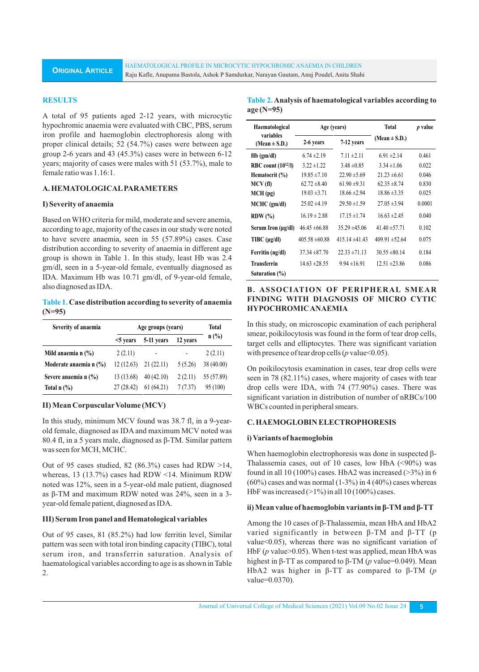#### **RESULTS**

A total of 95 patients aged 2-12 years, with microcytic hypochromic anaemia were evaluated with CBC, PBS, serum iron profile and haemoglobin electrophoresis along with proper clinical details; 52 (54.7%) cases were between age group 2-6 years and 43 (45.3%) cases were in between 6-12 years; majority of cases were males with 51 (53.7%), male to female ratio was 1.16:1.

## **A. HEMATOLOGICALPARAMETERS**

#### **I) Severity of anaemia**

Based on WHO criteria for mild, moderate and severe anemia, according to age, majority of the cases in our study were noted to have severe anaemia, seen in 55 (57.89%) cases. Case distribution according to severity of anaemia in different age group is shown in Table 1. In this study, least Hb was 2.4 gm/dl, seen in a 5-year-old female, eventually diagnosed as IDA. Maximum Hb was 10.71 gm/dl, of 9-year-old female, also diagnosed as IDA.

## **Table 1. Case distribution according to severity of anaemia (N=95)**

| Severity of anaemia                  | Age groups (years) |                          |          | Total      |
|--------------------------------------|--------------------|--------------------------|----------|------------|
|                                      | $<$ 5 years        | 5-11 years               | 12 years | $n$ (%)    |
| Mild anaemia n $(\% )$               | 2(2.11)            | $\overline{\phantom{a}}$ |          | 2(2.11)    |
| Moderate anaemia n $(\%)$            | 12(12.63)          | 21(22.11)                | 5 (5.26) | 38 (40.00) |
| Severe anaemia n (%)                 | 13 (13.68)         | 40(42.10)                | 2(2.11)  | 55 (57.89) |
| Total $n$ $\left(\frac{9}{6}\right)$ | 27(28.42)          | 61(64.21)                | 7(7.37)  | 95 (100)   |

#### **II) Mean Corpuscular Volume (MCV)**

In this study, minimum MCV found was 38.7 fl, in a 9-yearold female, diagnosed as IDA and maximum MCV noted was 80.4 fl, in a 5 years male, diagnosed as β-TM. Similar pattern was seen for MCH, MCHC.

Out of 95 cases studied, 82 (86.3%) cases had RDW  $>14$ , whereas, 13 (13.7%) cases had RDW <14. Minimum RDW noted was 12%, seen in a 5-year-old male patient, diagnosed as β-TM and maximum RDW noted was 24%, seen in a 3 year-old female patient, diagnosed as IDA.

## **III) Serum Iron panel and Hematological variables**

Out of 95 cases, 81 (85.2%) had low ferritin level, Similar pattern was seen with total iron binding capacity (TIBC), total serum iron, and transferrin saturation. Analysis of haematological variables according to age is as shown in Table 2.

| Table 2. Analysis of haematological variables according to |
|------------------------------------------------------------|
| $age(N=95)$                                                |

| Haematological                 | Age (years)        |                    | Total              | <i>p</i> value |
|--------------------------------|--------------------|--------------------|--------------------|----------------|
| variables<br>(Mean $\pm$ S.D.) | 2-6 years          | 7-12 years         | (Mean $\pm$ S.D.)  |                |
| $Hb$ (gm/dl)                   | $6.74 \pm 2.19$    | $7.11 \pm 2.11$    | $6.91 \pm 2.14$    | 0.461          |
| RBC count $(10^{12}/I)$        | $3.22 + 1.22$      | $3.48 \pm 0.85$    | $3.34 \pm 1.06$    | 0.022          |
| Hematocrit $(\%)$              | $19.85 \pm 7.10$   | $22.90 \pm 5.69$   | $21.23 \pm 6.61$   | 0.046          |
| MCV(f)                         | $62.72 \pm 8.40$   | $61.90 \pm 9.31$   | $62.35 \pm 8.74$   | 0.830          |
| $MCH$ (pg)                     | $19.03 \pm 3.71$   | $18.66 \pm 2.94$   | $18.86 \pm 3.35$   | 0.025          |
| $MCHC$ (gm/dl)                 | $25.02 \pm 4.19$   | $29.50 \pm 1.59$   | $27.05 \pm 3.94$   | 0.0001         |
| $RDW (\% )$                    | $16.19 \pm 2.88$   | $17.15 \pm 1.74$   | $16.63 \pm 2.45$   | 0.040          |
| Serum Iron (µg/dl)             | $46.45 \pm 66.88$  | $35.29 \pm 45.06$  | $41.40 \pm 57.71$  | 0.102          |
| $T\text{IBC}$ ( $\mu$ g/dl)    | $405.58 \pm 60.88$ | $415.14 \pm 41.43$ | $409.91 \pm 52.64$ | 0.075          |
| Ferritin (ng/dl)               | $37.34 \pm 87.70$  | $22.33 \pm 71.13$  | $30.55 \pm 80.14$  | 0.184          |
| <b>Transferrin</b>             | $14.63 \pm 28.55$  | $9.94 \pm 16.91$   | $12.51 \pm 23.86$  | 0.086          |
| Saturation (%)                 |                    |                    |                    |                |

# **B. ASSOCIATION OF PERIPHERAL SMEAR FINDING WITH DIAGNOSIS OF MICRO CYTIC HYPOCHROMIC ANAEMIA**

In this study, on microscopic examination of each peripheral smear, poikilocytosis was found in the form of tear drop cells, target cells and elliptocytes. There was significant variation with presence of tear drop cells (*p* value<0.05).

On poikilocytosis examination in cases, tear drop cells were seen in 78 (82.11%) cases, where majority of cases with tear drop cells were IDA, with 74 (77.90%) cases. There was significant variation in distribution of number of nRBCs/100 WBCs counted in peripheral smears.

## **C. HAEMOGLOBIN ELECTROPHORESIS**

#### **i) Variants of haemoglobin**

When haemoglobin electrophoresis was done in suspected β-Thalassemia cases, out of 10 cases, low HbA (<90%) was found in all 10 (100%) cases. HbA2 was increased  $(>3%)$  in 6  $(60\%)$  cases and was normal  $(1-3\%)$  in 4  $(40\%)$  cases whereas HbF was increased  $(>1\%)$  in all 10 (100%) cases.

#### **ii) Mean value of haemoglobin variants in β-TM and β-TT**

Among the 10 cases of β-Thalassemia, mean HbA and HbA2 varied significantly in between β-TM and β-TT (p value<0.05), whereas there was no significant variation of HbF (*p* value>0.05). When t-test was applied, mean HbA was highest in β-TT as compared to β-TM (*p* value=0.049). Mean HbA2 was higher in β-TT as compared to β-TM (*p* value=0.0370).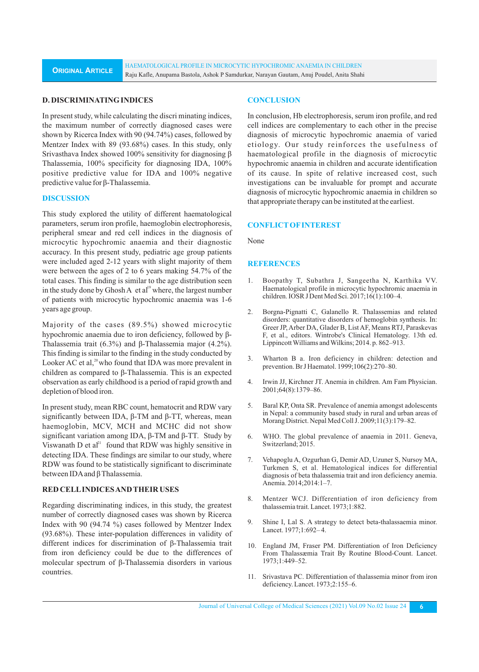## **D. DISCRIMINATING INDICES**

In present study, while calculating the discri minating indices, the maximum number of correctly diagnosed cases were shown by Ricerca Index with 90 (94.74%) cases, followed by Mentzer Index with 89 (93.68%) cases. In this study, only Srivasthava Index showed 100% sensitivity for diagnosing β Thalassemia, 100% specificity for diagnosing IDA, 100% positive predictive value for IDA and 100% negative predictive value for β-Thalassemia.

## **DISCUSSION**

This study explored the utility of different haematological parameters, serum iron profile, haemoglobin electrophoresis, peripheral smear and red cell indices in the diagnosis of microcytic hypochromic anaemia and their diagnostic accuracy. In this present study, pediatric age group patients were included aged 2-12 years with slight majority of them were between the ages of 2 to 6 years making 54.7% of the total cases. This finding is similar to the age distribution seen in the study done by Ghosh A et  $al<sup>19</sup>$  where, the largest number of patients with microcytic hypochromic anaemia was 1-6 years age group.

Majority of the cases (89.5%) showed microcytic hypochromic anaemia due to iron deficiency, followed by β-Thalassemia trait (6.3%) and β-Thalassemia major (4.2%). This finding is similar to the finding in the study conducted by Looker AC et al,<sup>20</sup> who found that IDA was more prevalent in children as compared to β-Thalassemia. This is an expected observation as early childhood is a period of rapid growth and depletion of blood iron.

In present study, mean RBC count, hematocrit and RDW vary significantly between IDA, β-TM and β-TT, whereas, mean haemoglobin, MCV, MCH and MCHC did not show significant variation among IDA, β-TM and β-TT. Study by Viswanath D et  $a^{\mu}$  found that RDW was highly sensitive in detecting IDA. These findings are similar to our study, where RDW was found to be statistically significant to discriminate between IDAand β Thalassemia.

#### **RED CELLINDICES AND THEIR USES**

Regarding discriminating indices, in this study, the greatest number of correctly diagnosed cases was shown by Ricerca Index with 90 (94.74 %) cases followed by Mentzer Index (93.68%). These inter-population differences in validity of different indices for discrimination of β-Thalassemia trait from iron deficiency could be due to the differences of molecular spectrum of β-Thalassemia disorders in various countries.

#### **CONCLUSION**

In conclusion, Hb electrophoresis, serum iron profile, and red cell indices are complementary to each other in the precise diagnosis of microcytic hypochromic anaemia of varied etiology. Our study reinforces the usefulness of haematological profile in the diagnosis of microcytic hypochromic anaemia in children and accurate identification of its cause. In spite of relative increased cost, such investigations can be invaluable for prompt and accurate diagnosis of microcytic hypochromic anaemia in children so that appropriate therapy can be instituted at the earliest.

#### **CONFLICTOFINTEREST**

None

#### **REFERENCES**

- 1. Boopathy T, Subathra J, Sangeetha N, Karthika VV. Haematological profile in microcytic hypochromic anaemia in children. IOSR J Dent Med Sci. 2017;16(1):100–4.
- 2. Borgna-Pignatti C, Galanello R. Thalassemias and related disorders: quantitative disorders of hemoglobin synthesis. In: Greer JP, Arber DA, Glader B, List AF, Means RTJ, Paraskevas F, et al., editors. Wintrobe's Clinical Hematology. 13th ed. Lippincott Williams and Wilkins; 2014. p. 862–913.
- 3. Wharton B a. Iron deficiency in children: detection and prevention. Br J Haematol. 1999;106(2):270–80.
- 4. Irwin JJ, Kirchner JT. Anemia in children. Am Fam Physician. 2001;64(8):1379–86.
- 5. Baral KP, Onta SR. Prevalence of anemia amongst adolescents in Nepal: a community based study in rural and urban areas of Morang District. Nepal Med Coll J. 2009;11(3):179–82.
- 6. WHO. The global prevalence of anaemia in 2011. Geneva, Switzerland; 2015.
- 7. Vehapoglu A, Ozgurhan G, Demir AD, Uzuner S, Nursoy MA, Turkmen S, et al. Hematological indices for differential diagnosis of beta thalassemia trait and iron deficiency anemia. Anemia. 2014;2014:1–7.
- 8. Mentzer WCJ. Differentiation of iron deficiency from thalassemia trait. Lancet. 1973;1:882.
- 9. Shine I, Lal S. A strategy to detect beta-thalassaemia minor. Lancet. 1977;1:692– 4.
- 10. England JM, Fraser PM. Differentiation of Iron Deficiency From Thalassæmia Trait By Routine Blood-Count. Lancet. 1973;1:449–52.
- 11. Srivastava PC. Differentiation of thalassemia minor from iron deficiency. Lancet. 1973;2:155–6.